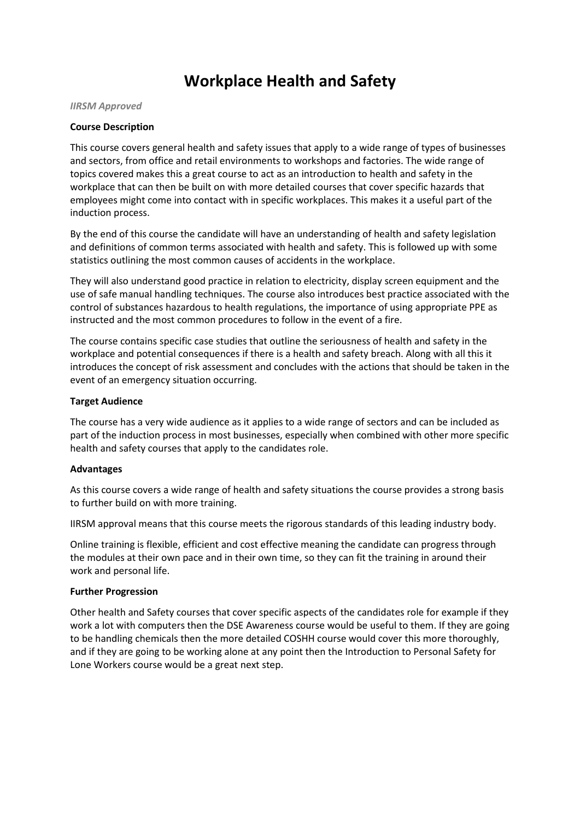# **Workplace Health and Safety**

#### *IIRSM Approved*

## **Course Description**

This course covers general health and safety issues that apply to a wide range of types of businesses and sectors, from office and retail environments to workshops and factories. The wide range of topics covered makes this a great course to act as an introduction to health and safety in the workplace that can then be built on with more detailed courses that cover specific hazards that employees might come into contact with in specific workplaces. This makes it a useful part of the induction process.

By the end of this course the candidate will have an understanding of health and safety legislation and definitions of common terms associated with health and safety. This is followed up with some statistics outlining the most common causes of accidents in the workplace.

They will also understand good practice in relation to electricity, display screen equipment and the use of safe manual handling techniques. The course also introduces best practice associated with the control of substances hazardous to health regulations, the importance of using appropriate PPE as instructed and the most common procedures to follow in the event of a fire.

The course contains specific case studies that outline the seriousness of health and safety in the workplace and potential consequences if there is a health and safety breach. Along with all this it introduces the concept of risk assessment and concludes with the actions that should be taken in the event of an emergency situation occurring.

## **Target Audience**

The course has a very wide audience as it applies to a wide range of sectors and can be included as part of the induction process in most businesses, especially when combined with other more specific health and safety courses that apply to the candidates role.

## **Advantages**

As this course covers a wide range of health and safety situations the course provides a strong basis to further build on with more training.

IIRSM approval means that this course meets the rigorous standards of this leading industry body.

Online training is flexible, efficient and cost effective meaning the candidate can progress through the modules at their own pace and in their own time, so they can fit the training in around their work and personal life.

## **Further Progression**

Other health and Safety courses that cover specific aspects of the candidates role for example if they work a lot with computers then the DSE Awareness course would be useful to them. If they are going to be handling chemicals then the more detailed COSHH course would cover this more thoroughly, and if they are going to be working alone at any point then the Introduction to Personal Safety for Lone Workers course would be a great next step.